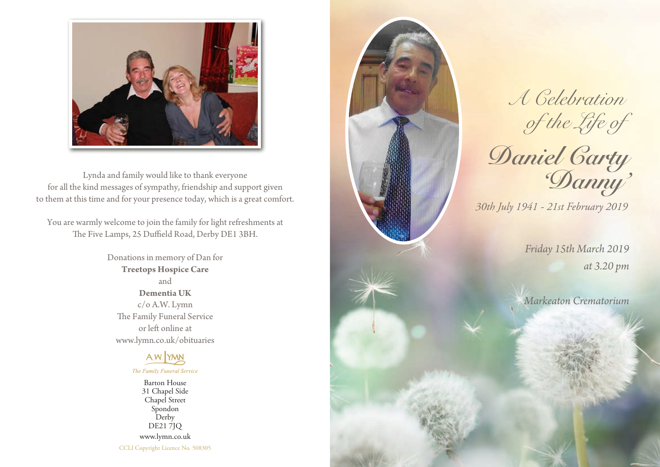

Lynda and family would like to thank everyone for all the kind messages of sympathy, friendship and support given to them at this time and for your presence today, which is a great comfort.

You are warmly welcome to join the family for light refreshments at The Five Lamps, 25 Duffield Road, Derby DE1 3BH.

> Donations in memory of Dan for **Treetops Hospice Care** and **Dementia UK** c/o A.W. Lymn The Family Funeral Service or left online at www.lymn.co.uk/obituaries

> > A.W. YMN The Family Funeral Service

Barton House 31 Chapel Side Chapel Street Spondon **Derby** DE21 7JQ www.lymn.co.uk

CCLI Copyright Licence No. 508305



*A Celebration of the Life of* 



*30th July 1941 - 21st February 2019*

*Friday 15th March 2019 at 3.20 pm*

*Markeaton Crematorium*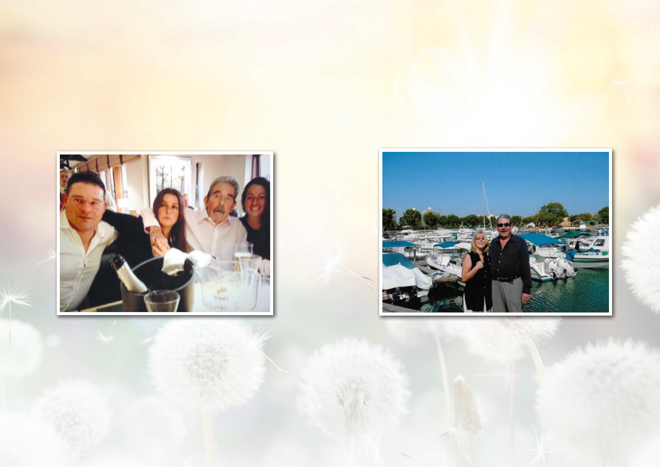

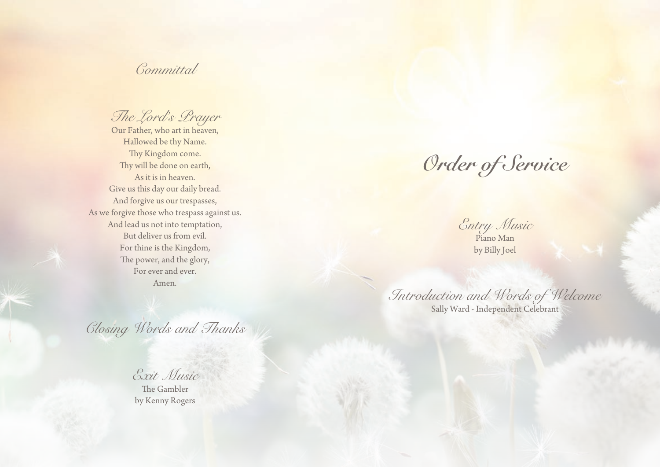*Committal*

*The Lord's Prayer*

Our Father, who art in heaven, Hallowed be thy Name. Thy Kingdom come. Thy will be done on earth, As it is in heaven. Give us this day our daily bread. And forgive us our trespasses, As we forgive those who trespass against us. And lead us not into temptation, But deliver us from evil. For thine is the Kingdom, The power, and the glory, For ever and ever. Amen.

*Closing Words and Thanks*

*Exit Music* The Gambler by Kenny Rogers

*Order of Service*

*Entry Music*

Piano Man by Billy Joel

*Introduction and Words of Welcome* Sally Ward - Independent Celebrant